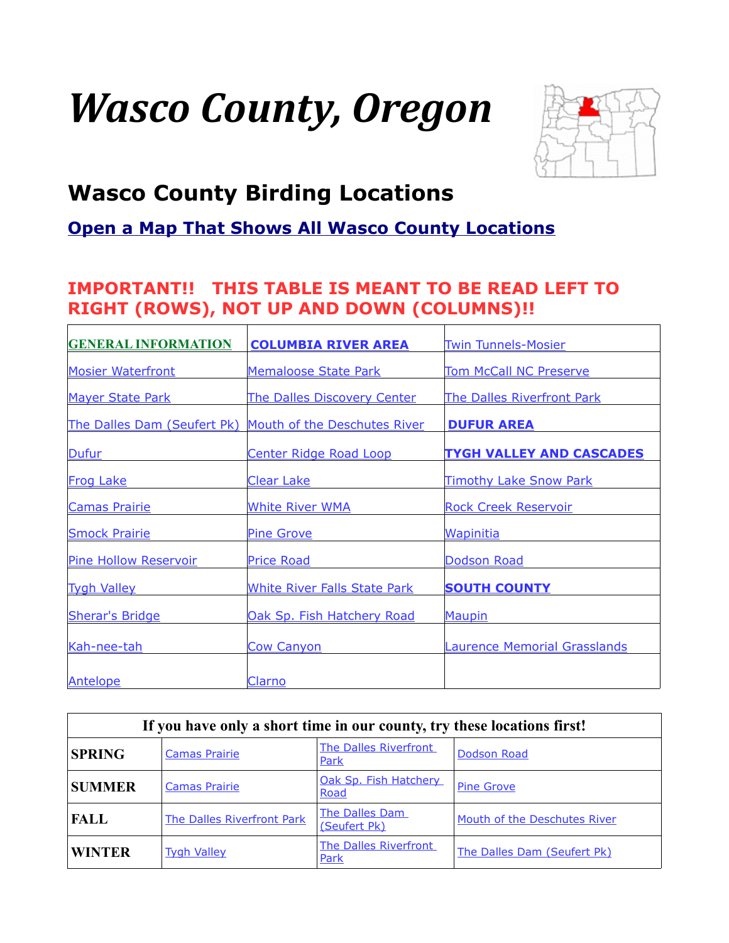# *Wasco County, Oregon*



# <span id="page-0-0"></span>**Wasco County Birding Locations**

### **[Open a Map That Shows All Wasco County Locations](https://www.google.com/maps/d/edit?mid=zVl1oTDALjf4.kZ39HMHtUnkM&usp=sharing)**

#### **IMPORTANT!! THIS TABLE IS MEANT TO BE READ LEFT TO RIGHT (ROWS), NOT UP AND DOWN (COLUMNS)!!**

| <b>GENERAL INFORMATION</b>   | <b>COLUMBIA RIVER AREA</b>          | <b>Twin Tunnels-Mosier</b>          |
|------------------------------|-------------------------------------|-------------------------------------|
| <b>Mosier Waterfront</b>     | <b>Memaloose State Park</b>         | <b>Tom McCall NC Preserve</b>       |
| <b>Mayer State Park</b>      | The Dalles Discovery Center         | <b>The Dalles Riverfront Park</b>   |
| The Dalles Dam (Seufert Pk)  | Mouth of the Deschutes River        | <b>DUFUR AREA</b>                   |
| Dufur                        | <b>Center Ridge Road Loop</b>       | <b>TYGH VALLEY AND CASCADES</b>     |
| <b>Frog Lake</b>             | <b>Clear Lake</b>                   | <b>Timothy Lake Snow Park</b>       |
| <b>Camas Prairie</b>         | <b>White River WMA</b>              | <b>Rock Creek Reservoir</b>         |
| <b>Smock Prairie</b>         | <b>Pine Grove</b>                   | <b>Wapinitia</b>                    |
| <b>Pine Hollow Reservoir</b> | <b>Price Road</b>                   | Dodson Road                         |
| <b>Tygh Valley</b>           | <b>White River Falls State Park</b> | <b>SOUTH COUNTY</b>                 |
| <b>Sherar's Bridge</b>       | Oak Sp. Fish Hatchery Road          | Maupin                              |
| Kah-nee-tah                  | <b>Cow Canyon</b>                   | <b>Laurence Memorial Grasslands</b> |
|                              |                                     |                                     |
| Antelope                     | Clarno                              |                                     |

| If you have only a short time in our county, try these locations first! |                            |                                |                              |  |
|-------------------------------------------------------------------------|----------------------------|--------------------------------|------------------------------|--|
| <b>SPRING</b>                                                           | <b>Camas Prairie</b>       | The Dalles Riverfront<br>Park  | Dodson Road                  |  |
| <b>SUMMER</b>                                                           | <b>Camas Prairie</b>       | Oak Sp. Fish Hatchery<br>Road  | <b>Pine Grove</b>            |  |
| <b>FALL</b>                                                             | The Dalles Riverfront Park | The Dalles Dam<br>(Seufert Pk) | Mouth of the Deschutes River |  |
| <b>WINTER</b>                                                           | <b>Tygh Valley</b>         | The Dalles Riverfront<br>Park  | The Dalles Dam (Seufert Pk)  |  |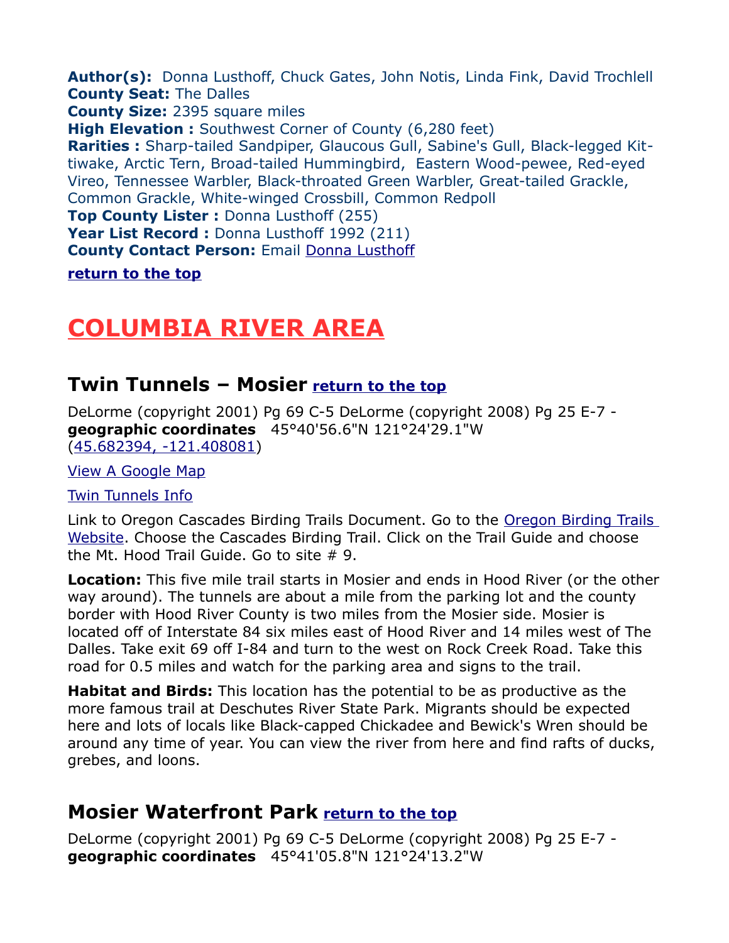<span id="page-1-3"></span>**Author(s):** Donna Lusthoff, Chuck Gates, John Notis, Linda Fink, David Trochlell **County Seat:** The Dalles **County Size:** 2395 square miles

**High Elevation :** Southwest Corner of County (6,280 feet)

**Rarities :** Sharp-tailed Sandpiper, Glaucous Gull, Sabine's Gull, Black-legged Kittiwake, Arctic Tern, Broad-tailed Hummingbird, Eastern Wood-pewee, Red-eyed Vireo, Tennessee Warbler, Black-throated Green Warbler, Great-tailed Grackle, Common Grackle, White-winged Crossbill, Common Redpoll

**Top County Lister :** Donna Lusthoff (255)

**Year List Record :** Donna Lusthoff 1992 (211)

**County Contact Person:** Email [Donna Lusthoff](mailto:dlbird@earthlink.net)

**[return to the top](#page-0-0)**

# <span id="page-1-2"></span>**COLUMBIA RIVER AREA**

### <span id="page-1-1"></span>**Twin Tunnels – Mosier [return to the top](#page-0-0)**

DeLorme (copyright 2001) Pg 69 C-5 DeLorme (copyright 2008) Pg 25 E-7 **geographic coordinates** 45°40'56.6"N 121°24'29.1"W [\(45.682394, -121.408081\)](https://www.google.com/maps/place/45%C2%B040)

[View A Google Map](http://maps.google.com/maps/ms?hl=en&ie=UTF8&msa=0&msid=108036481085398338899.000470d187da6d5a5bceb&ll=45.632286,-120.988312&sp)

[Twin Tunnels Info](http://www.oregonstateparks.org/park_155.php)

Link to Oregon Cascades Birding Trails Document. Go to the [Oregon Birding Trails](http://www.oregonbirdingtrails.org/)  [Website.](http://www.oregonbirdingtrails.org/) Choose the Cascades Birding Trail. Click on the Trail Guide and choose the Mt. Hood Trail Guide. Go to site # 9.

**Location:** This five mile trail starts in Mosier and ends in Hood River (or the other way around). The tunnels are about a mile from the parking lot and the county border with Hood River County is two miles from the Mosier side. Mosier is located off of Interstate 84 six miles east of Hood River and 14 miles west of The Dalles. Take exit 69 off I-84 and turn to the west on Rock Creek Road. Take this road for 0.5 miles and watch for the parking area and signs to the trail.

**Habitat and Birds:** This location has the potential to be as productive as the more famous trail at Deschutes River State Park. Migrants should be expected here and lots of locals like Black-capped Chickadee and Bewick's Wren should be around any time of year. You can view the river from here and find rafts of ducks, grebes, and loons.

## <span id="page-1-0"></span>**Mosier Waterfront Park [return to the top](#page-0-0)**

DeLorme (copyright 2001) Pg 69 C-5 DeLorme (copyright 2008) Pg 25 E-7 **geographic coordinates** 45°41'05.8"N 121°24'13.2"W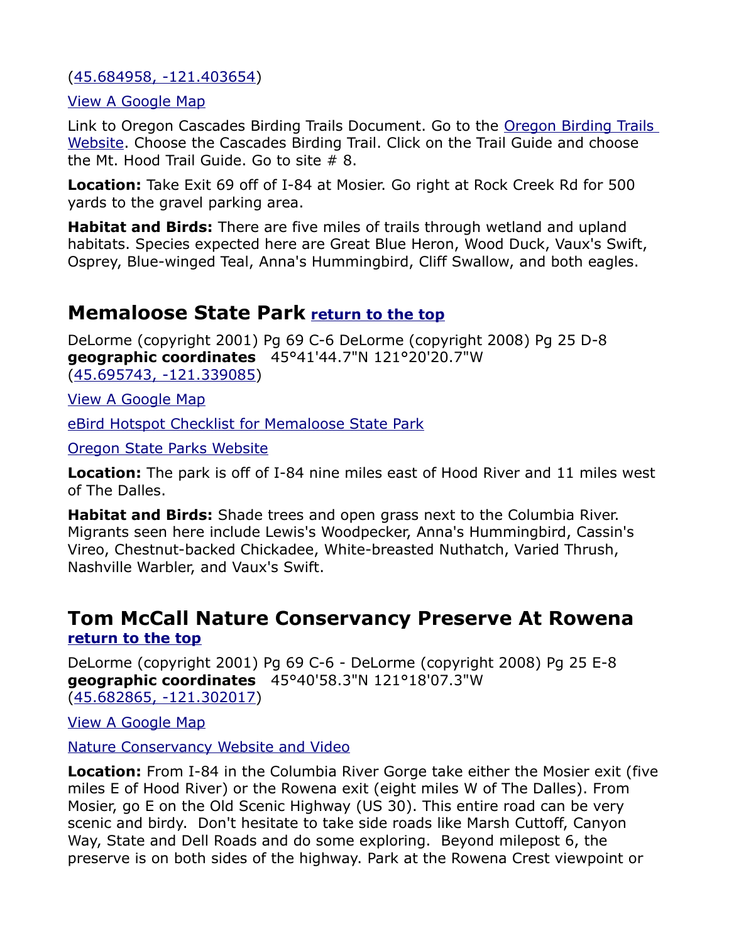[\(45.684958, -121.403654\)](https://www.google.com/maps/place/45%C2%B041)

[View A Google Map](http://maps.google.com/maps/ms?hl=en&ie=UTF8&msa=0&msid=108036481085398338899.000470d187da6d5a5bceb&ll=45.632286,-120.988312&sp)

Link to Oregon Cascades Birding Trails Document. Go to the Oregon Birding Trails [Website.](http://www.oregonbirdingtrails.org/) Choose the Cascades Birding Trail. Click on the Trail Guide and choose the Mt. Hood Trail Guide. Go to site # 8.

**Location:** Take Exit 69 off of I-84 at Mosier. Go right at Rock Creek Rd for 500 yards to the gravel parking area.

**Habitat and Birds:** There are five miles of trails through wetland and upland habitats. Species expected here are Great Blue Heron, Wood Duck, Vaux's Swift, Osprey, Blue-winged Teal, Anna's Hummingbird, Cliff Swallow, and both eagles.

## <span id="page-2-1"></span>**Memaloose State Park [return to the top](#page-0-0)**

DeLorme (copyright 2001) Pg 69 C-6 DeLorme (copyright 2008) Pg 25 D-8 **geographic coordinates** 45°41'44.7"N 121°20'20.7"W [\(45.695743, -121.339085\)](https://www.google.com/maps/place/45%C2%B041)

[View A Google Map](http://maps.google.com/maps/ms?hl=en&ie=UTF8&msa=0&msid=108036481085398338899.000470d187da6d5a5bceb&ll=45.632286,-120.988312&sp)

[eBird Hotspot Checklist for Memaloose State Park](http://ebird.org/ebird/hotspot/L3001232?yr=all&m=&rank=mrec)

[Oregon State Parks Website](http://oregonstateparks.org/index.cfm?do=parkPage.dsp_parkPage&parkId=118)

**Location:** The park is off of I-84 nine miles east of Hood River and 11 miles west of The Dalles.

**Habitat and Birds:** Shade trees and open grass next to the Columbia River. Migrants seen here include Lewis's Woodpecker, Anna's Hummingbird, Cassin's Vireo, Chestnut-backed Chickadee, White-breasted Nuthatch, Varied Thrush, Nashville Warbler, and Vaux's Swift.

#### <span id="page-2-0"></span>**Tom McCall Nature Conservancy Preserve At Rowena [return to the top](#page-0-0)**

DeLorme (copyright 2001) Pg 69 C-6 - DeLorme (copyright 2008) Pg 25 E-8 **geographic coordinates** 45°40'58.3"N 121°18'07.3"W [\(45.682865, -121.302017\)](https://www.google.com/maps/place/45%C2%B040)

[View A Google Map](http://maps.google.com/maps/ms?hl=en&ie=UTF8&msa=0&msid=108036481085398338899.000470d187da6d5a5bceb&ll=45.632286,-120.988312&sp)

[Nature Conservancy Website and Video](http://www.nature.org/ourinitiatives/regions/northamerica/unitedstates/oregon/placesweprotect/tom-mccall-preserve-at-rowena.xml)

**Location:** From I-84 in the Columbia River Gorge take either the Mosier exit (five miles E of Hood River) or the Rowena exit (eight miles W of The Dalles). From Mosier, go E on the Old Scenic Highway (US 30). This entire road can be very scenic and birdy. Don't hesitate to take side roads like Marsh Cuttoff, Canyon Way, State and Dell Roads and do some exploring. Beyond milepost 6, the preserve is on both sides of the highway. Park at the Rowena Crest viewpoint or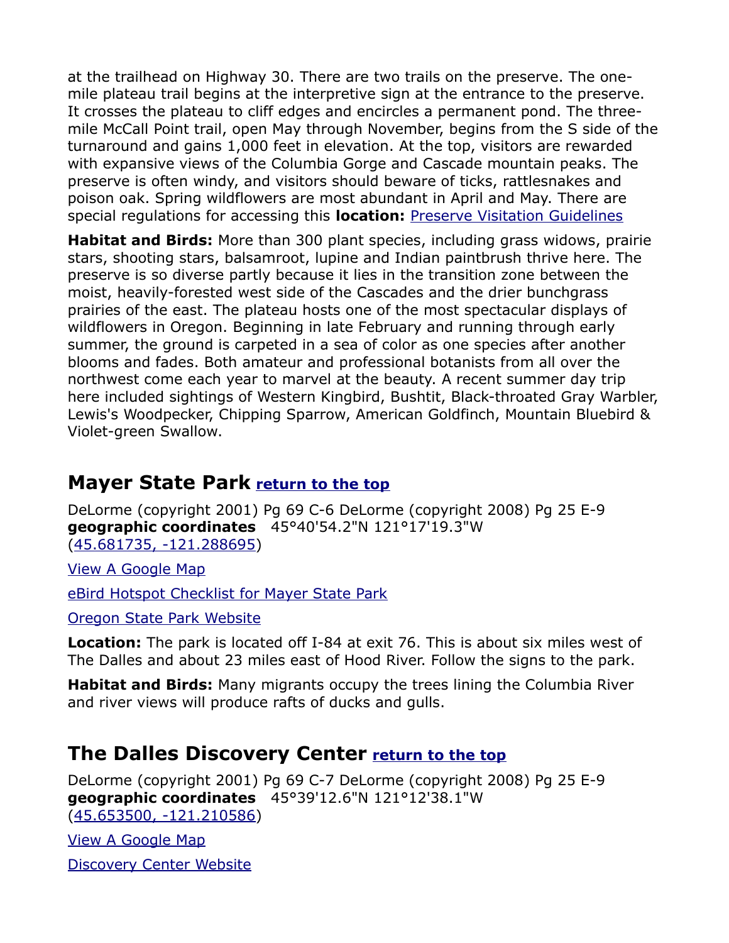at the trailhead on Highway 30. There are two trails on the preserve. The onemile plateau trail begins at the interpretive sign at the entrance to the preserve. It crosses the plateau to cliff edges and encircles a permanent pond. The threemile McCall Point trail, open May through November, begins from the S side of the turnaround and gains 1,000 feet in elevation. At the top, visitors are rewarded with expansive views of the Columbia Gorge and Cascade mountain peaks. The preserve is often windy, and visitors should beware of ticks, rattlesnakes and poison oak. Spring wildflowers are most abundant in April and May. There are special regulations for accessing this **location:** [Preserve Visitation Guidelines](http://www.nature.org/ourinitiatives/regions/northamerica/unitedstates/oregon/placesweprotect/tom-mccall-preserve-at-rowena.xml)

**Habitat and Birds:** More than 300 plant species, including grass widows, prairie stars, shooting stars, balsamroot, lupine and Indian paintbrush thrive here. The preserve is so diverse partly because it lies in the transition zone between the moist, heavily-forested west side of the Cascades and the drier bunchgrass prairies of the east. The plateau hosts one of the most spectacular displays of wildflowers in Oregon. Beginning in late February and running through early summer, the ground is carpeted in a sea of color as one species after another blooms and fades. Both amateur and professional botanists from all over the northwest come each year to marvel at the beauty. A recent summer day trip here included sightings of Western Kingbird, Bushtit, Black-throated Gray Warbler, Lewis's Woodpecker, Chipping Sparrow, American Goldfinch, Mountain Bluebird & Violet-green Swallow.

#### <span id="page-3-1"></span>**Mayer State Park [return to the top](#page-0-0)**

DeLorme (copyright 2001) Pg 69 C-6 DeLorme (copyright 2008) Pg 25 E-9 **geographic coordinates** 45°40'54.2"N 121°17'19.3"W [\(45.681735, -121.288695\)](https://www.google.com/maps/place/45%C2%B040)

[View A Google Map](http://maps.google.com/maps/ms?hl=en&ie=UTF8&msa=0&msid=108036481085398338899.000470d187da6d5a5bceb&ll=45.632286,-120.988312&sp)

[eBird Hotspot Checklist for Mayer State Park](http://ebird.org/ebird/hotspot/L165728)

[Oregon State Park Website](http://oregonstateparks.org/index.cfm?do=parkPage.dsp_parkPage&parkId=117)

**Location:** The park is located off I-84 at exit 76. This is about six miles west of The Dalles and about 23 miles east of Hood River. Follow the signs to the park.

**Habitat and Birds:** Many migrants occupy the trees lining the Columbia River and river views will produce rafts of ducks and gulls.

## <span id="page-3-0"></span>**The Dalles Discovery Center [return to the top](#page-0-0)**

DeLorme (copyright 2001) Pg 69 C-7 DeLorme (copyright 2008) Pg 25 E-9 **geographic coordinates** 45°39'12.6"N 121°12'38.1"W [\(45.653500, -121.210586\)](https://www.google.com/maps/place/45%C2%B039)

[View A Google Map](http://maps.google.com/maps/ms?hl=en&ie=UTF8&msa=0&msid=108036481085398338899.000470d187da6d5a5bceb&ll=45.632286,-120.988312&sp)

[Discovery Center Website](http://www.gorgediscovery.org/)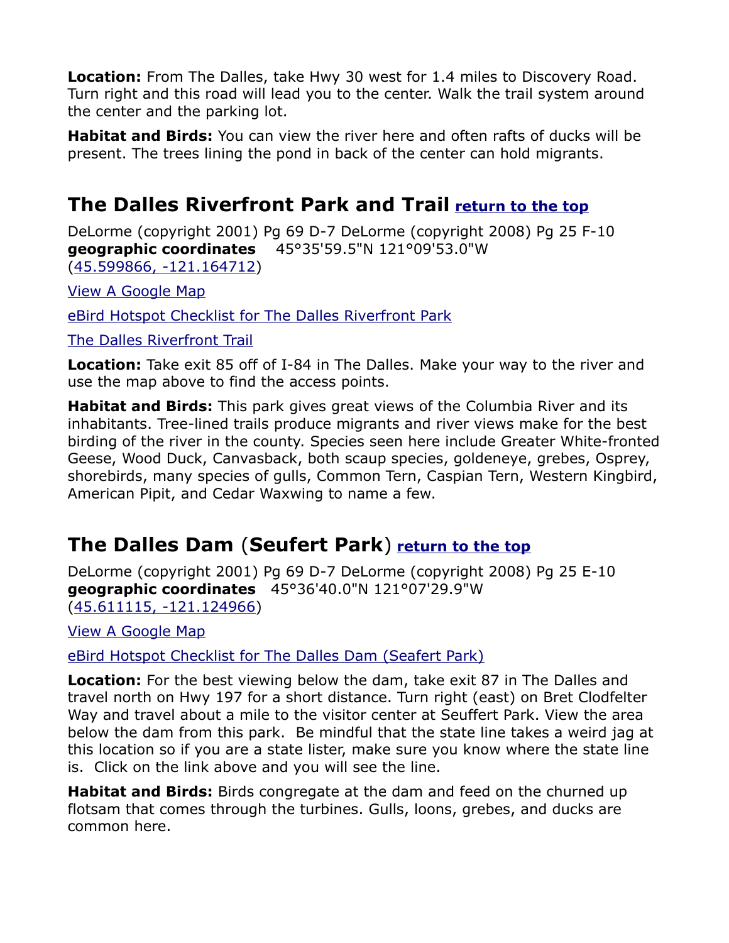**Location:** From The Dalles, take Hwy 30 west for 1.4 miles to Discovery Road. Turn right and this road will lead you to the center. Walk the trail system around the center and the parking lot.

**Habitat and Birds:** You can view the river here and often rafts of ducks will be present. The trees lining the pond in back of the center can hold migrants.

## <span id="page-4-1"></span>**The Dalles Riverfront Park and Trail [return to the top](#page-0-0)**

DeLorme (copyright 2001) Pg 69 D-7 DeLorme (copyright 2008) Pg 25 F-10 **geographic coordinates** 45°35'59.5"N 121°09'53.0"W [\(45.599866, -121.164712\)](https://www.google.com/maps/place/45%C2%B035)

[View A Google Map](http://maps.google.com/maps/ms?hl=en&ie=UTF8&msa=0&msid=108036481085398338899.000470d187da6d5a5bceb&ll=45.632286,-120.988312&sp)

[eBird Hotspot Checklist for The Dalles Riverfront Park](http://ebird.org/ebird/hotspot/L2418525)

[The Dalles Riverfront Trail](http://www.nwprd.org/rivertrail/)

**Location:** Take exit 85 off of I-84 in The Dalles. Make your way to the river and use the map above to find the access points.

**Habitat and Birds:** This park gives great views of the Columbia River and its inhabitants. Tree-lined trails produce migrants and river views make for the best birding of the river in the county. Species seen here include Greater White-fronted Geese, Wood Duck, Canvasback, both scaup species, goldeneye, grebes, Osprey, shorebirds, many species of gulls, Common Tern, Caspian Tern, Western Kingbird, American Pipit, and Cedar Waxwing to name a few.

## <span id="page-4-0"></span>**The Dalles Dam** (**Seufert Park**) **[return to the top](#page-0-0)**

DeLorme (copyright 2001) Pg 69 D-7 DeLorme (copyright 2008) Pg 25 E-10 **geographic coordinates** 45°36'40.0"N 121°07'29.9"W [\(45.611115, -121.124966\)](https://www.google.com/maps/place/45%C2%B036)

[View A Google Map](http://maps.google.com/maps/ms?hl=en&ie=UTF8&msa=0&msid=108036481085398338899.000470d187da6d5a5bceb&ll=45.632286,-120.988312&sp)

[eBird Hotspot Checklist for The Dalles Dam \(Seafert Park\)](http://ebird.org/ebird/hotspot/L2441633)

**Location:** For the best viewing below the dam, take exit 87 in The Dalles and travel north on Hwy 197 for a short distance. Turn right (east) on Bret Clodfelter Way and travel about a mile to the visitor center at Seuffert Park. View the area below the dam from this park. Be mindful that the state line takes a weird jag at this location so if you are a state lister, make sure you know where the state line is. Click on the link above and you will see the line.

**Habitat and Birds:** Birds congregate at the dam and feed on the churned up flotsam that comes through the turbines. Gulls, loons, grebes, and ducks are common here.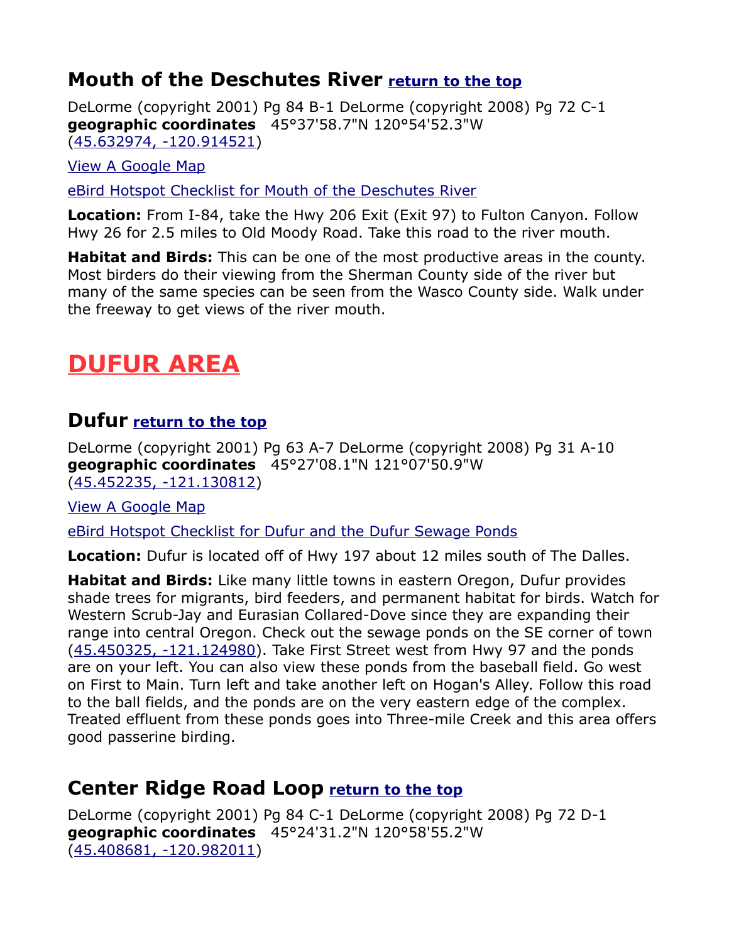### <span id="page-5-0"></span>**Mouth of the Deschutes River [return to the top](#page-0-0)**

DeLorme (copyright 2001) Pg 84 B-1 DeLorme (copyright 2008) Pg 72 C-1 **geographic coordinates** 45°37'58.7"N 120°54'52.3"W [\(45.632974, -120.914521\)](https://www.google.com/maps/place/45%C2%B037)

[View A Google Map](http://maps.google.com/maps/ms?hl=en&ie=UTF8&msa=0&msid=108036481085398338899.000470d187da6d5a5bceb&ll=45.632286,-120.988312&sp)

[eBird Hotspot Checklist for Mouth of the Deschutes River](http://ebird.org/ebird/hotspot/L285645)

**Location:** From I-84, take the Hwy 206 Exit (Exit 97) to Fulton Canyon. Follow Hwy 26 for 2.5 miles to Old Moody Road. Take this road to the river mouth.

**Habitat and Birds:** This can be one of the most productive areas in the county. Most birders do their viewing from the Sherman County side of the river but many of the same species can be seen from the Wasco County side. Walk under the freeway to get views of the river mouth.

# <span id="page-5-3"></span>**DUFUR AREA**

#### <span id="page-5-2"></span>**Dufur [return to the top](#page-0-0)**

DeLorme (copyright 2001) Pg 63 A-7 DeLorme (copyright 2008) Pg 31 A-10 **geographic coordinates** 45°27'08.1"N 121°07'50.9"W [\(45.452235, -121.130812\)](https://www.google.com/maps/place/45%C2%B027)

[View A Google Map](http://maps.google.com/maps/ms?hl=en&ie=UTF8&msa=0&msid=108036481085398338899.000470d1b6ffe3fb6fe3c&ll=45.443753,-121.125641&sp)

[eBird Hotspot Checklist for Dufur and the Dufur Sewage Ponds](http://ebird.org/ebird/hotspot/L2973430?yr=all&m=&rank=mrec)

**Location:** Dufur is located off of Hwy 197 about 12 miles south of The Dalles.

**Habitat and Birds:** Like many little towns in eastern Oregon, Dufur provides shade trees for migrants, bird feeders, and permanent habitat for birds. Watch for Western Scrub-Jay and Eurasian Collared-Dove since they are expanding their range into central Oregon. Check out the sewage ponds on the SE corner of town [\(45.450325, -121.124980\)](https://www.google.com/maps/place/45%C2%B027). Take First Street west from Hwy 97 and the ponds are on your left. You can also view these ponds from the baseball field. Go west on First to Main. Turn left and take another left on Hogan's Alley. Follow this road to the ball fields, and the ponds are on the very eastern edge of the complex. Treated effluent from these ponds goes into Three-mile Creek and this area offers good passerine birding.

#### <span id="page-5-1"></span>**Center Ridge Road Loop [return to the top](#page-0-0)**

DeLorme (copyright 2001) Pg 84 C-1 DeLorme (copyright 2008) Pg 72 D-1 **geographic coordinates** 45°24'31.2"N 120°58'55.2"W [\(45.408681, -120.982011\)](https://www.google.com/maps/place/45%C2%B024)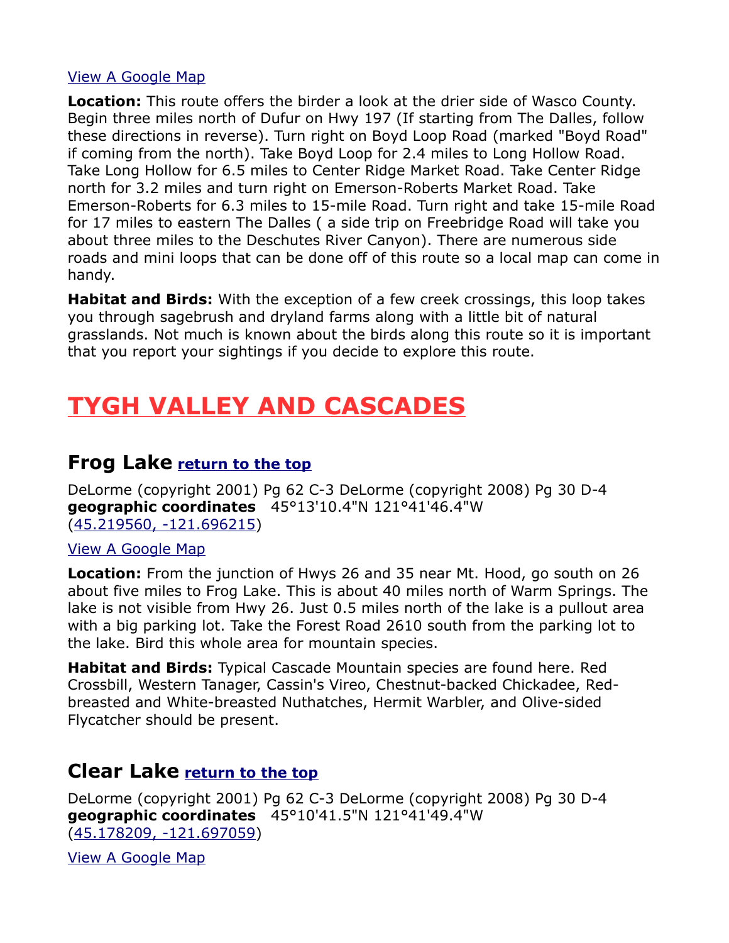#### [View A Google Map](http://maps.google.com/maps/ms?hl=en&ie=UTF8&msa=0&ll=45.496722,-120.868149&spn=0.374934,0.769043&z=10&msid=1080364810853983388)

**Location:** This route offers the birder a look at the drier side of Wasco County. Begin three miles north of Dufur on Hwy 197 (If starting from The Dalles, follow these directions in reverse). Turn right on Boyd Loop Road (marked "Boyd Road" if coming from the north). Take Boyd Loop for 2.4 miles to Long Hollow Road. Take Long Hollow for 6.5 miles to Center Ridge Market Road. Take Center Ridge north for 3.2 miles and turn right on Emerson-Roberts Market Road. Take Emerson-Roberts for 6.3 miles to 15-mile Road. Turn right and take 15-mile Road for 17 miles to eastern The Dalles ( a side trip on Freebridge Road will take you about three miles to the Deschutes River Canyon). There are numerous side roads and mini loops that can be done off of this route so a local map can come in handy.

**Habitat and Birds:** With the exception of a few creek crossings, this loop takes you through sagebrush and dryland farms along with a little bit of natural grasslands. Not much is known about the birds along this route so it is important that you report your sightings if you decide to explore this route.

# <span id="page-6-2"></span>**TYGH VALLEY AND CASCADES**

#### <span id="page-6-1"></span>**Frog Lake [return to the top](#page-0-0)**

DeLorme (copyright 2001) Pg 62 C-3 DeLorme (copyright 2008) Pg 30 D-4 **geographic coordinates** 45°13'10.4"N 121°41'46.4"W [\(45.219560, -121.696215\)](https://www.google.com/maps/place/45%C2%B013)

#### [View A Google Map](http://maps.google.com/maps/ms?hl=en&ie=UTF8&msa=0&ll=45.175745,-121.329575&spn=0.369321,1.056747&z=10&msid=1080364810853983388)

**Location:** From the junction of Hwys 26 and 35 near Mt. Hood, go south on 26 about five miles to Frog Lake. This is about 40 miles north of Warm Springs. The lake is not visible from Hwy 26. Just 0.5 miles north of the lake is a pullout area with a big parking lot. Take the Forest Road 2610 south from the parking lot to the lake. Bird this whole area for mountain species.

**Habitat and Birds:** Typical Cascade Mountain species are found here. Red Crossbill, Western Tanager, Cassin's Vireo, Chestnut-backed Chickadee, Redbreasted and White-breasted Nuthatches, Hermit Warbler, and Olive-sided Flycatcher should be present.

#### <span id="page-6-0"></span>**Clear Lake [return to the top](#page-0-0)**

DeLorme (copyright 2001) Pg 62 C-3 DeLorme (copyright 2008) Pg 30 D-4 **geographic coordinates** 45°10'41.5"N 121°41'49.4"W [\(45.178209, -121.697059\)](https://www.google.com/maps/place/45%C2%B010)

[View A Google Map](http://maps.google.com/maps/ms?hl=en&ie=UTF8&msa=0&ll=45.175745,-121.329575&spn=0.369321,1.056747&z=10&msid=1080364810853983388)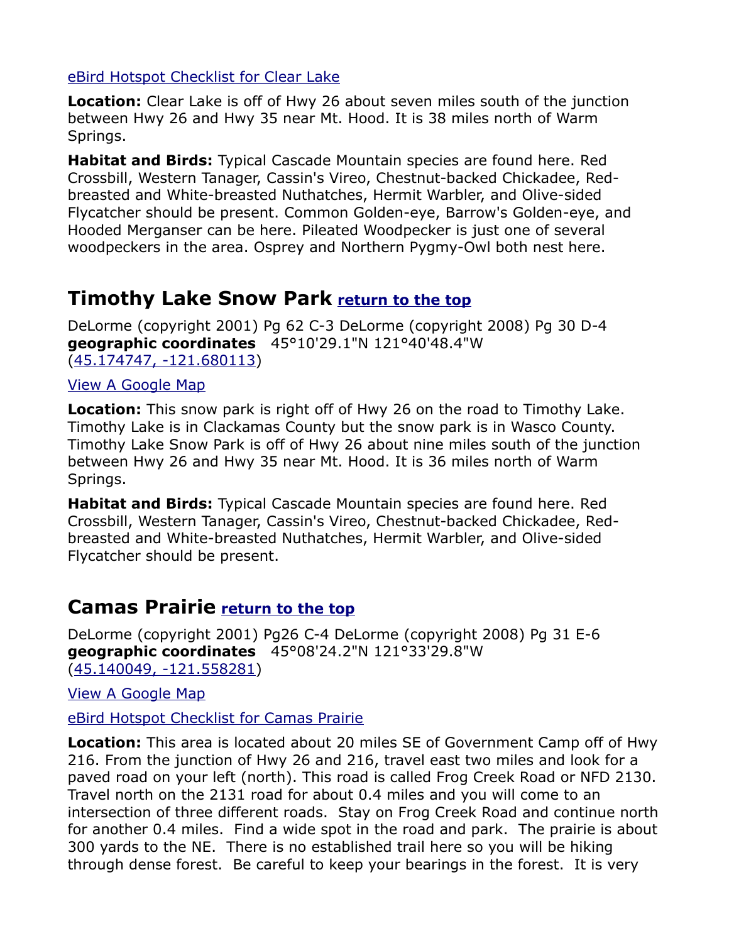#### [eBird Hotspot Checklist for Clear Lake](http://ebird.org/ebird/hotspot/L774233)

**Location:** Clear Lake is off of Hwy 26 about seven miles south of the junction between Hwy 26 and Hwy 35 near Mt. Hood. It is 38 miles north of Warm Springs.

**Habitat and Birds:** Typical Cascade Mountain species are found here. Red Crossbill, Western Tanager, Cassin's Vireo, Chestnut-backed Chickadee, Redbreasted and White-breasted Nuthatches, Hermit Warbler, and Olive-sided Flycatcher should be present. Common Golden-eye, Barrow's Golden-eye, and Hooded Merganser can be here. Pileated Woodpecker is just one of several woodpeckers in the area. Osprey and Northern Pygmy-Owl both nest here.

## <span id="page-7-1"></span>**Timothy Lake Snow Park [return to the top](#page-0-0)**

DeLorme (copyright 2001) Pg 62 C-3 DeLorme (copyright 2008) Pg 30 D-4 **geographic coordinates** 45°10'29.1"N 121°40'48.4"W [\(45.174747, -121.680113\)](https://www.google.com/maps/place/45%C2%B010)

#### [View A Google Map](http://maps.google.com/maps/ms?hl=en&ie=UTF8&msa=0&ll=45.175745,-121.329575&spn=0.369321,1.056747&z=10&msid=1080364810853983388)

**Location:** This snow park is right off of Hwy 26 on the road to Timothy Lake. Timothy Lake is in Clackamas County but the snow park is in Wasco County. Timothy Lake Snow Park is off of Hwy 26 about nine miles south of the junction between Hwy 26 and Hwy 35 near Mt. Hood. It is 36 miles north of Warm Springs.

**Habitat and Birds:** Typical Cascade Mountain species are found here. Red Crossbill, Western Tanager, Cassin's Vireo, Chestnut-backed Chickadee, Redbreasted and White-breasted Nuthatches, Hermit Warbler, and Olive-sided Flycatcher should be present.

#### <span id="page-7-0"></span>**Camas Prairie [return to the top](#page-0-0)**

DeLorme (copyright 2001) Pg26 C-4 DeLorme (copyright 2008) Pg 31 E-6 **geographic coordinates** 45°08'24.2"N 121°33'29.8"W [\(45.140049, -121.558281\)](https://www.google.com/maps/place/45%C2%B008)

[View A Google Map](http://maps.google.com/maps/ms?hl=en&ie=UTF8&msa=0&ll=45.141367,-121.38176&spn=0.38456,1.056747&z=11&msid=108036481085398338899)

[eBird Hotspot Checklist for Camas Prairie](http://ebird.org/ebird/hotspot/L2256070)

**Location:** This area is located about 20 miles SE of Government Camp off of Hwy 216. From the junction of Hwy 26 and 216, travel east two miles and look for a paved road on your left (north). This road is called Frog Creek Road or NFD 2130. Travel north on the 2131 road for about 0.4 miles and you will come to an intersection of three different roads. Stay on Frog Creek Road and continue north for another 0.4 miles. Find a wide spot in the road and park. The prairie is about 300 yards to the NE. There is no established trail here so you will be hiking through dense forest. Be careful to keep your bearings in the forest. It is very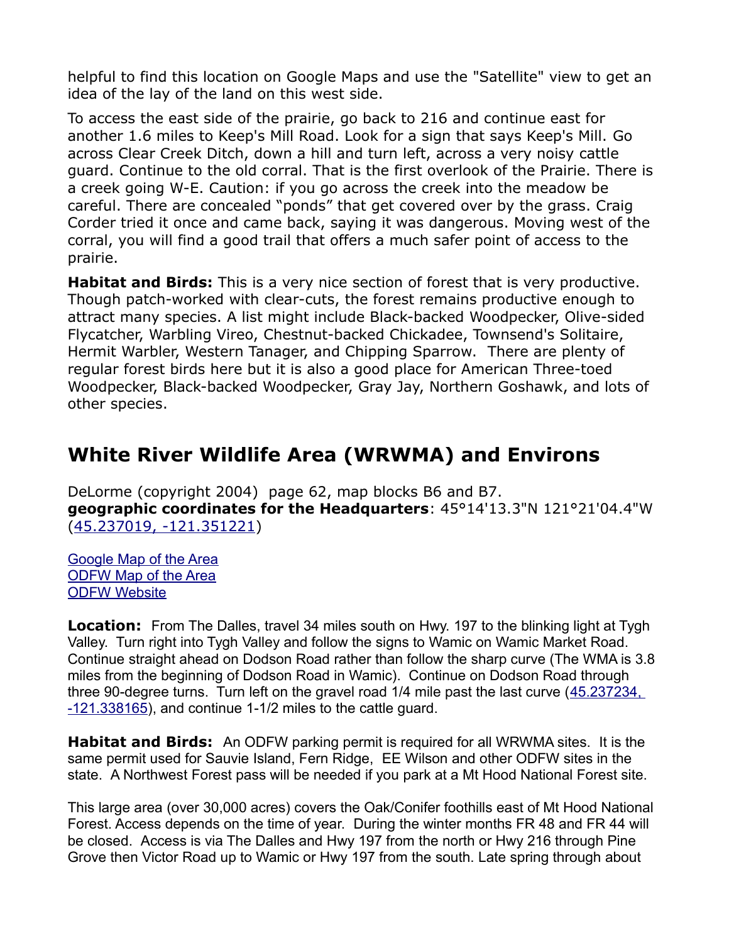helpful to find this location on Google Maps and use the "Satellite" view to get an idea of the lay of the land on this west side.

To access the east side of the prairie, go back to 216 and continue east for another 1.6 miles to Keep's Mill Road. Look for a sign that says Keep's Mill. Go across Clear Creek Ditch, down a hill and turn left, across a very noisy cattle guard. Continue to the old corral. That is the first overlook of the Prairie. There is a creek going W-E. Caution: if you go across the creek into the meadow be careful. There are concealed "ponds" that get covered over by the grass. Craig Corder tried it once and came back, saying it was dangerous. Moving west of the corral, you will find a good trail that offers a much safer point of access to the prairie.

**Habitat and Birds:** This is a very nice section of forest that is very productive. Though patch-worked with clear-cuts, the forest remains productive enough to attract many species. A list might include Black-backed Woodpecker, Olive-sided Flycatcher, Warbling Vireo, Chestnut-backed Chickadee, Townsend's Solitaire, Hermit Warbler, Western Tanager, and Chipping Sparrow. There are plenty of regular forest birds here but it is also a good place for American Three-toed Woodpecker, Black-backed Woodpecker, Gray Jay, Northern Goshawk, and lots of other species.

## <span id="page-8-1"></span><span id="page-8-0"></span>**White River Wildlife Area (WRWMA) and Environs**

DeLorme (copyright 2004) page 62, map blocks B6 and B7. **geographic coordinates for the Headquarters**: 45°14'13.3"N 121°21'04.4"W [\(45.237019, -121.351221\)](https://www.google.com/maps/place/45%C2%B014)

[Google Map of the Area](https://www.google.com/maps/d/edit?mid=zDYUv0mTlYiM.krtxuNLUxka0&usp=sharing) [ODFW Map of the Area](http://www.dfw.state.or.us/maps/wildlife_areas/whiteriver.pdf) **[ODFW Website](http://www.dfw.state.or.us/resources/visitors/white_river_wildlife_area.asp)** 

**Location:** From The Dalles, travel 34 miles south on Hwy. 197 to the blinking light at Tygh Valley. Turn right into Tygh Valley and follow the signs to Wamic on Wamic Market Road. Continue straight ahead on Dodson Road rather than follow the sharp curve (The WMA is 3.8 miles from the beginning of Dodson Road in Wamic). Continue on Dodson Road through three 90-degree turns. Turn left on the gravel road 1/4 mile past the last curve (45.237234,  $-121.338165$ ), and continue 1-1/2 miles to the cattle guard.

**Habitat and Birds:** An ODFW parking permit is required for all WRWMA sites. It is the same permit used for Sauvie Island, Fern Ridge, EE Wilson and other ODFW sites in the state. A Northwest Forest pass will be needed if you park at a Mt Hood National Forest site.

This large area (over 30,000 acres) covers the Oak/Conifer foothills east of Mt Hood National Forest. Access depends on the time of year. During the winter months FR 48 and FR 44 will be closed. Access is via The Dalles and Hwy 197 from the north or Hwy 216 through Pine Grove then Victor Road up to Wamic or Hwy 197 from the south. Late spring through about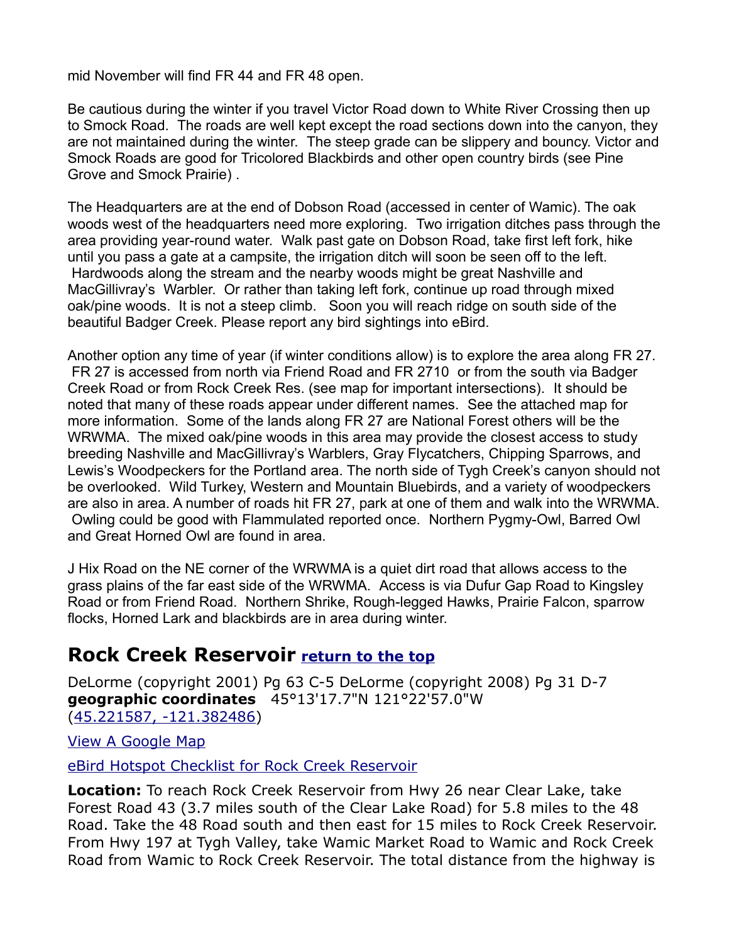mid November will find FR 44 and FR 48 open.

Be cautious during the winter if you travel Victor Road down to White River Crossing then up to Smock Road. The roads are well kept except the road sections down into the canyon, they are not maintained during the winter. The steep grade can be slippery and bouncy. Victor and Smock Roads are good for Tricolored Blackbirds and other open country birds (see Pine Grove and Smock Prairie) .

The Headquarters are at the end of Dobson Road (accessed in center of Wamic). The oak woods west of the headquarters need more exploring. Two irrigation ditches pass through the area providing year-round water. Walk past gate on Dobson Road, take first left fork, hike until you pass a gate at a campsite, the irrigation ditch will soon be seen off to the left. Hardwoods along the stream and the nearby woods might be great Nashville and MacGillivray's Warbler. Or rather than taking left fork, continue up road through mixed oak/pine woods. It is not a steep climb. Soon you will reach ridge on south side of the beautiful Badger Creek. Please report any bird sightings into eBird.

Another option any time of year (if winter conditions allow) is to explore the area along FR 27. FR 27 is accessed from north via Friend Road and FR 2710 or from the south via Badger Creek Road or from Rock Creek Res. (see map for important intersections). It should be noted that many of these roads appear under different names. See the attached map for more information. Some of the lands along FR 27 are National Forest others will be the WRWMA. The mixed oak/pine woods in this area may provide the closest access to study breeding Nashville and MacGillivray's Warblers, Gray Flycatchers, Chipping Sparrows, and Lewis's Woodpeckers for the Portland area. The north side of Tygh Creek's canyon should not be overlooked. Wild Turkey, Western and Mountain Bluebirds, and a variety of woodpeckers are also in area. A number of roads hit FR 27, park at one of them and walk into the WRWMA. Owling could be good with Flammulated reported once. Northern Pygmy-Owl, Barred Owl and Great Horned Owl are found in area.

J Hix Road on the NE corner of the WRWMA is a quiet dirt road that allows access to the grass plains of the far east side of the WRWMA. Access is via Dufur Gap Road to Kingsley Road or from Friend Road. Northern Shrike, Rough-legged Hawks, Prairie Falcon, sparrow flocks, Horned Lark and blackbirds are in area during winter.

#### **Rock Creek Reservoir [return to the top](#page-0-0)**

DeLorme (copyright 2001) Pg 63 C-5 DeLorme (copyright 2008) Pg 31 D-7 **geographic coordinates** 45°13'17.7"N 121°22'57.0"W [\(45.221587, -121.382486\)](https://www.google.com/maps/place/45%C2%B013)

[View A Google Map](http://maps.google.com/maps/ms?hl=en&ie=UTF8&msa=0&ll=45.204296,-121.38382&spn=0.207791,0.527&z=12&msid=108036481085398338899.0)

[eBird Hotspot Checklist for Rock Creek Reservoir](http://ebird.org/ebird/hotspot/L807612)

**Location:** To reach Rock Creek Reservoir from Hwy 26 near Clear Lake, take Forest Road 43 (3.7 miles south of the Clear Lake Road) for 5.8 miles to the 48 Road. Take the 48 Road south and then east for 15 miles to Rock Creek Reservoir. From Hwy 197 at Tygh Valley, take Wamic Market Road to Wamic and Rock Creek Road from Wamic to Rock Creek Reservoir. The total distance from the highway is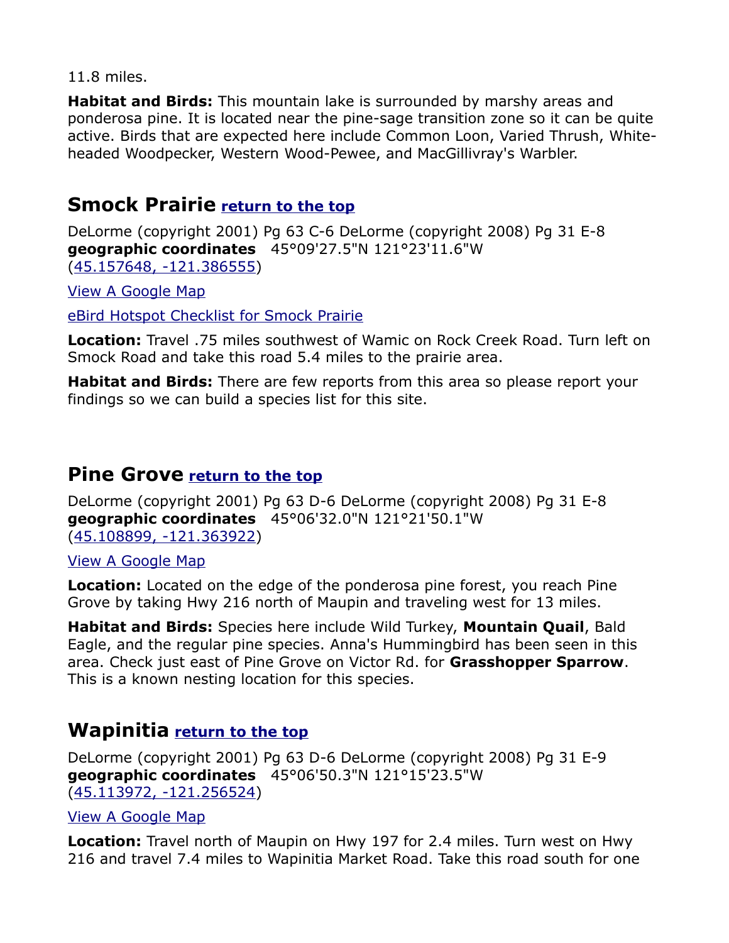11.8 miles.

**Habitat and Birds:** This mountain lake is surrounded by marshy areas and ponderosa pine. It is located near the pine-sage transition zone so it can be quite active. Birds that are expected here include Common Loon, Varied Thrush, Whiteheaded Woodpecker, Western Wood-Pewee, and MacGillivray's Warbler.

### <span id="page-10-2"></span>**Smock Prairie [return to the top](#page-0-0)**

DeLorme (copyright 2001) Pg 63 C-6 DeLorme (copyright 2008) Pg 31 E-8 **geographic coordinates** 45°09'27.5"N 121°23'11.6"W [\(45.157648, -121.386555\)](https://www.google.com/maps/place/45%C2%B009)

[View A Google Map](https://drive.google.com/open?id=1sdMyoCrYC0ekM1DfPZFXLMd0AMs&usp=sharing)

[eBird Hotspot Checklist for Smock Prairie](http://ebird.org/ebird/hotspot/L5515280)

**Location:** Travel .75 miles southwest of Wamic on Rock Creek Road. Turn left on Smock Road and take this road 5.4 miles to the prairie area.

**Habitat and Birds:** There are few reports from this area so please report your findings so we can build a species list for this site.

#### <span id="page-10-0"></span>**Pine Grove [return to the top](#page-0-0)**

DeLorme (copyright 2001) Pg 63 D-6 DeLorme (copyright 2008) Pg 31 E-8 **geographic coordinates** 45°06'32.0"N 121°21'50.1"W [\(45.108899, -121.363922\)](https://www.google.com/maps/place/45%C2%B006)

[View A Google Map](http://maps.google.com/maps/ms?hl=en&ie=UTF8&msa=0&ll=44.823734,-120.671082&spn=0.743191,2.113495&z=9&msid=10803648108539833889)

**Location:** Located on the edge of the ponderosa pine forest, you reach Pine Grove by taking Hwy 216 north of Maupin and traveling west for 13 miles.

**Habitat and Birds:** Species here include Wild Turkey, **Mountain Quail**, Bald Eagle, and the regular pine species. Anna's Hummingbird has been seen in this area. Check just east of Pine Grove on Victor Rd. for **Grasshopper Sparrow**. This is a known nesting location for this species.

#### <span id="page-10-1"></span>**Wapinitia [return to the top](#page-0-0)**

DeLorme (copyright 2001) Pg 63 D-6 DeLorme (copyright 2008) Pg 31 E-9 **geographic coordinates** 45°06'50.3"N 121°15'23.5"W [\(45.113972, -121.256524\)](https://www.google.com/maps/place/45%C2%B006)

#### [View A Google Map](http://maps.google.com/maps/ms?hl=en&ie=UTF8&msa=0&ll=44.823734,-120.671082&spn=0.743191,2.113495&z=9&msid=10803648108539833889)

**Location:** Travel north of Maupin on Hwy 197 for 2.4 miles. Turn west on Hwy 216 and travel 7.4 miles to Wapinitia Market Road. Take this road south for one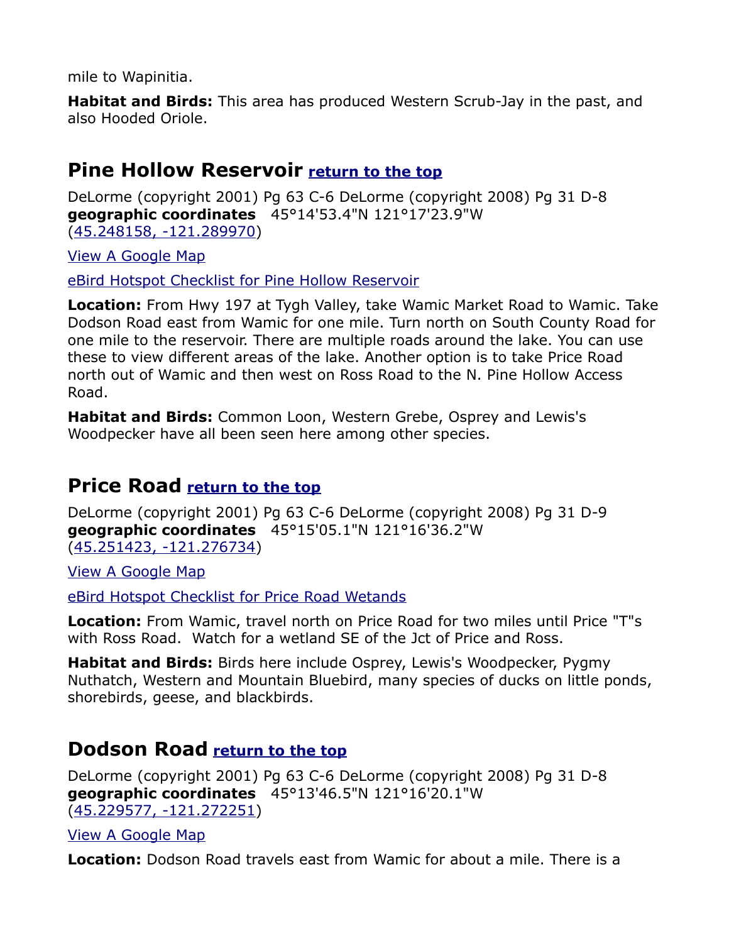mile to Wapinitia.

**Habitat and Birds:** This area has produced Western Scrub-Jay in the past, and also Hooded Oriole.

#### <span id="page-11-2"></span>**Pine Hollow Reservoir [return to the top](#page-0-0)**

DeLorme (copyright 2001) Pg 63 C-6 DeLorme (copyright 2008) Pg 31 D-8 **geographic coordinates** 45°14'53.4"N 121°17'23.9"W [\(45.248158, -121.289970\)](https://www.google.com/maps/place/45%C2%B014)

[View A Google Map](http://maps.google.com/maps/ms?hl=en&ie=UTF8&msa=0&msid=108036481085398338899.000470d1c19a2bb781e19&ll=45.232349,-121.240654&sp)

[eBird Hotspot Checklist for Pine Hollow Reservoir](http://ebird.org/ebird/hotspot/L1825375)

**Location:** From Hwy 197 at Tygh Valley, take Wamic Market Road to Wamic. Take Dodson Road east from Wamic for one mile. Turn north on South County Road for one mile to the reservoir. There are multiple roads around the lake. You can use these to view different areas of the lake. Another option is to take Price Road north out of Wamic and then west on Ross Road to the N. Pine Hollow Access Road.

**Habitat and Birds:** Common Loon, Western Grebe, Osprey and Lewis's Woodpecker have all been seen here among other species.

#### <span id="page-11-1"></span>**Price Road [return to the top](#page-0-0)**

DeLorme (copyright 2001) Pg 63 C-6 DeLorme (copyright 2008) Pg 31 D-9 **geographic coordinates** 45°15'05.1"N 121°16'36.2"W [\(45.251423, -121.276734\)](https://www.google.com/maps/place/45%C2%B015)

[View A Google Map](http://maps.google.com/maps/ms?hl=en&ie=UTF8&msa=0&msid=108036481085398338899.000470d1c19a2bb781e19&ll=45.232349,-121.240654&sp)

[eBird Hotspot Checklist for Price Road Wetands](http://ebird.org/ebird/hotspot/L2180720)

**Location:** From Wamic, travel north on Price Road for two miles until Price "T"s with Ross Road. Watch for a wetland SE of the Jct of Price and Ross.

**Habitat and Birds:** Birds here include Osprey, Lewis's Woodpecker, Pygmy Nuthatch, Western and Mountain Bluebird, many species of ducks on little ponds, shorebirds, geese, and blackbirds.

#### <span id="page-11-0"></span>**Dodson Road [return to the top](#page-0-0)**

DeLorme (copyright 2001) Pg 63 C-6 DeLorme (copyright 2008) Pg 31 D-8 **geographic coordinates** 45°13'46.5"N 121°16'20.1"W [\(45.229577, -121.272251\)](https://www.google.com/maps/place/45%C2%B013)

[View A Google Map](http://maps.google.com/maps/ms?hl=en&ie=UTF8&msa=0&msid=108036481085398338899.000470d1c19a2bb781e19&ll=45.232349,-121.240654&sp)

**Location:** Dodson Road travels east from Wamic for about a mile. There is a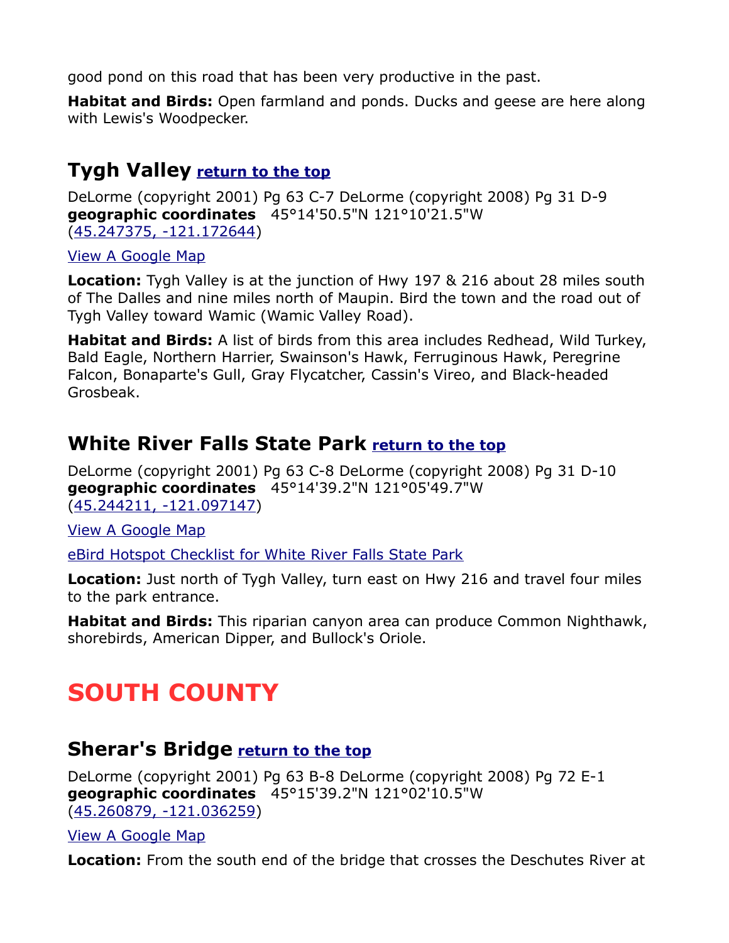good pond on this road that has been very productive in the past.

**Habitat and Birds:** Open farmland and ponds. Ducks and geese are here along with Lewis's Woodpecker.

## <span id="page-12-0"></span>**Tygh Valley [return to the top](#page-0-0)**

DeLorme (copyright 2001) Pg 63 C-7 DeLorme (copyright 2008) Pg 31 D-9 **geographic coordinates** 45°14'50.5"N 121°10'21.5"W [\(45.247375, -121.172644\)](https://www.google.com/maps/place/45%C2%B014)

[View A Google Map](http://maps.google.com/maps/ms?hl=en&ie=UTF8&msa=0&msid=108036481085398338899.000470d1c19a2bb781e19&ll=45.232349,-121.240654&sp)

**Location:** Tygh Valley is at the junction of Hwy 197 & 216 about 28 miles south of The Dalles and nine miles north of Maupin. Bird the town and the road out of Tygh Valley toward Wamic (Wamic Valley Road).

**Habitat and Birds:** A list of birds from this area includes Redhead, Wild Turkey, Bald Eagle, Northern Harrier, Swainson's Hawk, Ferruginous Hawk, Peregrine Falcon, Bonaparte's Gull, Gray Flycatcher, Cassin's Vireo, and Black-headed Grosbeak.

## <span id="page-12-3"></span>**White River Falls State Park [return to the top](#page-0-0)**

DeLorme (copyright 2001) Pg 63 C-8 DeLorme (copyright 2008) Pg 31 D-10 **geographic coordinates** 45°14'39.2"N 121°05'49.7"W [\(45.244211, -121.097147\)](https://www.google.com/maps/place/45%C2%B014)

[View A Google Map](http://maps.google.com/maps/ms?hl=en&ie=UTF8&msa=0&msid=108036481085398338899.000470d1c19a2bb781e19&ll=45.232349,-121.240654&sp)

[eBird Hotspot Checklist for White River Falls State Park](http://ebird.org/ebird/hotspot/L1528416)

**Location:** Just north of Tygh Valley, turn east on Hwy 216 and travel four miles to the park entrance.

**Habitat and Birds:** This riparian canyon area can produce Common Nighthawk, shorebirds, American Dipper, and Bullock's Oriole.

# <span id="page-12-2"></span>**SOUTH COUNTY**

#### <span id="page-12-1"></span>**Sherar's Bridge [return to the top](#page-0-0)**

DeLorme (copyright 2001) Pg 63 B-8 DeLorme (copyright 2008) Pg 72 E-1 **geographic coordinates** 45°15'39.2"N 121°02'10.5"W [\(45.260879, -121.036259\)](https://www.google.com/maps/place/45%C2%B015)

#### [View A Google Map](http://maps.google.com/maps/ms?hl=en&ie=UTF8&msa=0&msid=108036481085398338899.000470d206d0e9c4764de&ll=45.229931,-121.090622&sp)

**Location:** From the south end of the bridge that crosses the Deschutes River at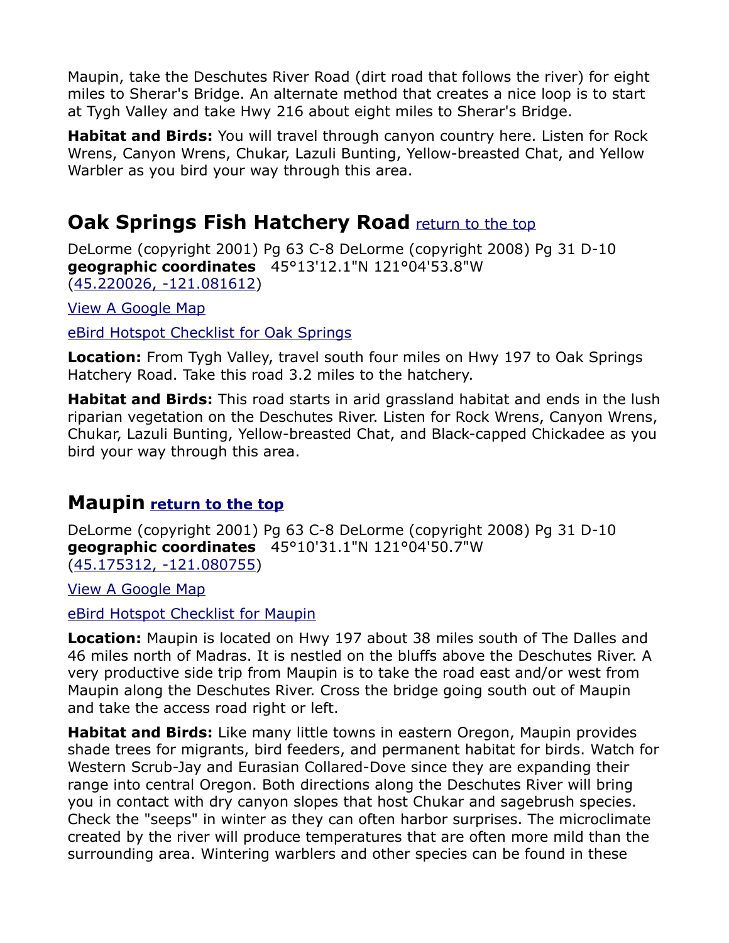Maupin, take the Deschutes River Road (dirt road that follows the river) for eight miles to Sherar's Bridge. An alternate method that creates a nice loop is to start at Tygh Valley and take Hwy 216 about eight miles to Sherar's Bridge.

**Habitat and Birds:** You will travel through canyon country here. Listen for Rock Wrens, Canyon Wrens, Chukar, Lazuli Bunting, Yellow-breasted Chat, and Yellow Warbler as you bird your way through this area.

## <span id="page-13-2"></span><span id="page-13-0"></span>**Oak Springs Fish Hatchery Road** [return to the top](#page-13-2)

DeLorme (copyright 2001) Pg 63 C-8 DeLorme (copyright 2008) Pg 31 D-10 **geographic coordinates** 45°13'12.1"N 121°04'53.8"W [\(45.220026, -121.081612\)](https://www.google.com/maps/place/45%C2%B013)

[View A Google Map](http://maps.google.com/maps/ms?hl=en&ie=UTF8&msa=0&msid=108036481085398338899.000470d206d0e9c4764de&ll=45.229931,-121.090622&sp)

[eBird Hotspot Checklist for Oak Springs](http://ebird.org/ebird/hotspot/L1422209?yr=all&m=&rank=mrec)

**Location:** From Tygh Valley, travel south four miles on Hwy 197 to Oak Springs Hatchery Road. Take this road 3.2 miles to the hatchery.

**Habitat and Birds:** This road starts in arid grassland habitat and ends in the lush riparian vegetation on the Deschutes River. Listen for Rock Wrens, Canyon Wrens, Chukar, Lazuli Bunting, Yellow-breasted Chat, and Black-capped Chickadee as you bird your way through this area.

#### <span id="page-13-1"></span>**Maupin [return to the top](#page-0-0)**

DeLorme (copyright 2001) Pg 63 C-8 DeLorme (copyright 2008) Pg 31 D-10 **geographic coordinates** 45°10'31.1"N 121°04'50.7"W [\(45.175312, -121.080755\)](https://www.google.com/maps/place/45%C2%B010)

[View A Google Map](http://maps.google.com/maps/ms?hl=en&ie=UTF8&msa=0&ll=44.823734,-120.671082&spn=0.743191,2.113495&z=9&msid=10803648108539833889)

[eBird Hotspot Checklist for Maupin](http://ebird.org/ebird/hotspot/L684473)

**Location:** Maupin is located on Hwy 197 about 38 miles south of The Dalles and 46 miles north of Madras. It is nestled on the bluffs above the Deschutes River. A very productive side trip from Maupin is to take the road east and/or west from Maupin along the Deschutes River. Cross the bridge going south out of Maupin and take the access road right or left.

**Habitat and Birds:** Like many little towns in eastern Oregon, Maupin provides shade trees for migrants, bird feeders, and permanent habitat for birds. Watch for Western Scrub-Jay and Eurasian Collared-Dove since they are expanding their range into central Oregon. Both directions along the Deschutes River will bring you in contact with dry canyon slopes that host Chukar and sagebrush species. Check the "seeps" in winter as they can often harbor surprises. The microclimate created by the river will produce temperatures that are often more mild than the surrounding area. Wintering warblers and other species can be found in these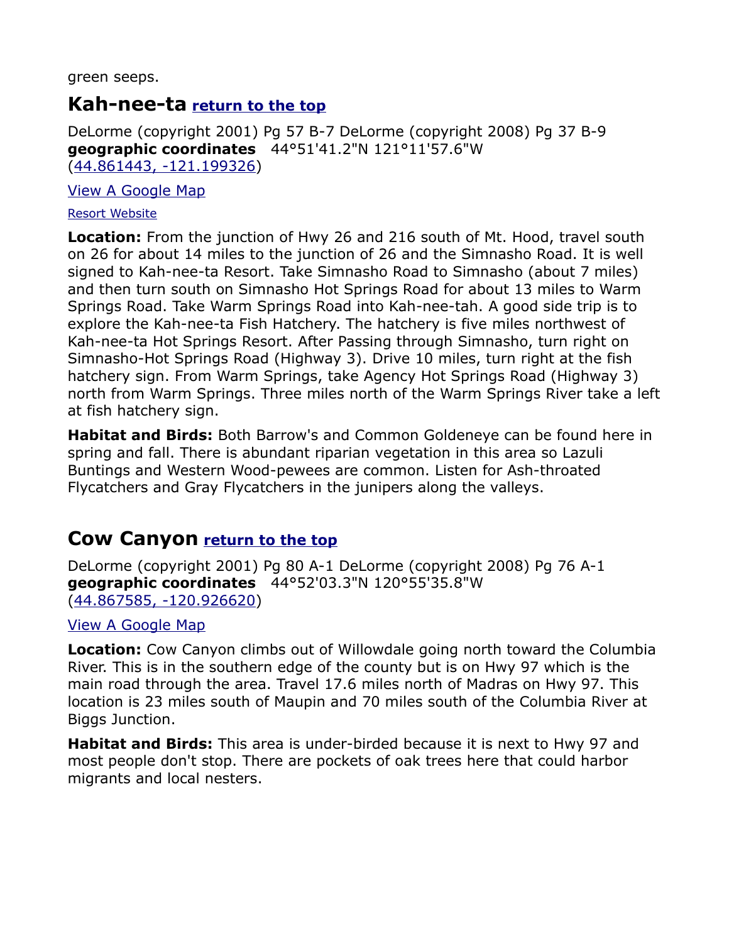green seeps.

#### <span id="page-14-1"></span>**Kah-nee-ta [return to the top](#page-0-0)**

DeLorme (copyright 2001) Pg 57 B-7 DeLorme (copyright 2008) Pg 37 B-9 **geographic coordinates** 44°51'41.2"N 121°11'57.6"W [\(44.861443, -121.199326\)](https://www.google.com/maps/place/44%C2%B051)

[View A Google Map](http://maps.google.com/maps/ms?hl=en&ie=UTF8&msa=0&ll=44.823734,-120.671082&spn=0.743191,2.113495&z=9&msid=10803648108539833889)

#### [Resort Website](http://www.kahneeta.com/)

**Location:** From the junction of Hwy 26 and 216 south of Mt. Hood, travel south on 26 for about 14 miles to the junction of 26 and the Simnasho Road. It is well signed to Kah-nee-ta Resort. Take Simnasho Road to Simnasho (about 7 miles) and then turn south on Simnasho Hot Springs Road for about 13 miles to Warm Springs Road. Take Warm Springs Road into Kah-nee-tah. A good side trip is to explore the Kah-nee-ta Fish Hatchery. The hatchery is five miles northwest of Kah-nee-ta Hot Springs Resort. After Passing through Simnasho, turn right on Simnasho-Hot Springs Road (Highway 3). Drive 10 miles, turn right at the fish hatchery sign. From Warm Springs, take Agency Hot Springs Road (Highway 3) north from Warm Springs. Three miles north of the Warm Springs River take a left at fish hatchery sign.

**Habitat and Birds:** Both Barrow's and Common Goldeneye can be found here in spring and fall. There is abundant riparian vegetation in this area so Lazuli Buntings and Western Wood-pewees are common. Listen for Ash-throated Flycatchers and Gray Flycatchers in the junipers along the valleys.

#### <span id="page-14-0"></span>**Cow Canyon [return to the top](#page-0-0)**

DeLorme (copyright 2001) Pg 80 A-1 DeLorme (copyright 2008) Pg 76 A-1 **geographic coordinates** 44°52'03.3"N 120°55'35.8"W [\(44.867585, -120.926620\)](https://www.google.com/maps/place/44%C2%B052)

#### [View A Google Map](http://maps.google.com/maps/ms?hl=en&ie=UTF8&msa=0&ll=44.823734,-120.671082&spn=0.743191,2.113495&z=9&msid=10803648108539833889)

**Location:** Cow Canyon climbs out of Willowdale going north toward the Columbia River. This is in the southern edge of the county but is on Hwy 97 which is the main road through the area. Travel 17.6 miles north of Madras on Hwy 97. This location is 23 miles south of Maupin and 70 miles south of the Columbia River at Biggs Junction.

**Habitat and Birds:** This area is under-birded because it is next to Hwy 97 and most people don't stop. There are pockets of oak trees here that could harbor migrants and local nesters.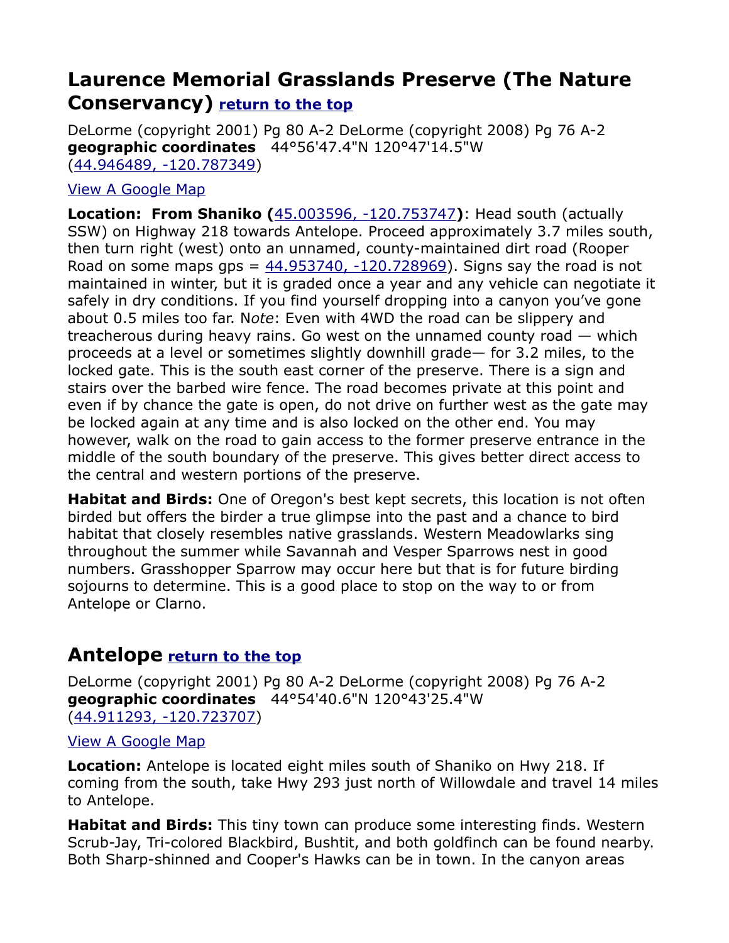## <span id="page-15-1"></span>**Laurence Memorial Grasslands Preserve (The Nature Conservancy) [return to the top](#page-0-0)**

DeLorme (copyright 2001) Pg 80 A-2 DeLorme (copyright 2008) Pg 76 A-2 **geographic coordinates** 44°56'47.4"N 120°47'14.5"W [\(44.946489, -120.787349\)](https://www.google.com/maps/place/44%C2%B056)

#### [View A Google Map](http://maps.google.com/maps/ms?hl=en&ie=UTF8&msa=0&ll=44.823734,-120.671082&spn=0.743191,2.113495&z=9&msid=10803648108539833889)

**Location: From Shaniko (**[45.003596, -120.753747](https://www.google.com/maps/place/45%C2%B000)**)**: Head south (actually SSW) on Highway 218 towards Antelope. Proceed approximately 3.7 miles south, then turn right (west) onto an unnamed, county-maintained dirt road (Rooper Road on some maps gps =  $44.953740, -120.728969$ ). Signs say the road is not maintained in winter, but it is graded once a year and any vehicle can negotiate it safely in dry conditions. If you find yourself dropping into a canyon you've gone about 0.5 miles too far. N*ote*: Even with 4WD the road can be slippery and treacherous during heavy rains. Go west on the unnamed county road — which proceeds at a level or sometimes slightly downhill grade— for 3.2 miles, to the locked gate. This is the south east corner of the preserve. There is a sign and stairs over the barbed wire fence. The road becomes private at this point and even if by chance the gate is open, do not drive on further west as the gate may be locked again at any time and is also locked on the other end. You may however, walk on the road to gain access to the former preserve entrance in the middle of the south boundary of the preserve. This gives better direct access to the central and western portions of the preserve.

**Habitat and Birds:** One of Oregon's best kept secrets, this location is not often birded but offers the birder a true glimpse into the past and a chance to bird habitat that closely resembles native grasslands. Western Meadowlarks sing throughout the summer while Savannah and Vesper Sparrows nest in good numbers. Grasshopper Sparrow may occur here but that is for future birding sojourns to determine. This is a good place to stop on the way to or from Antelope or Clarno.

#### <span id="page-15-0"></span>**Antelope [return to the top](#page-0-0)**

DeLorme (copyright 2001) Pg 80 A-2 DeLorme (copyright 2008) Pg 76 A-2 **geographic coordinates** 44°54'40.6"N 120°43'25.4"W [\(44.911293, -120.723707\)](https://www.google.com/maps/place/44%C2%B054)

#### [View A Google Map](http://maps.google.com/maps/ms?hl=en&ie=UTF8&msa=0&ll=44.823734,-120.671082&spn=0.743191,2.113495&z=9&msid=10803648108539833889)

**Location:** Antelope is located eight miles south of Shaniko on Hwy 218. If coming from the south, take Hwy 293 just north of Willowdale and travel 14 miles to Antelope.

**Habitat and Birds:** This tiny town can produce some interesting finds. Western Scrub-Jay, Tri-colored Blackbird, Bushtit, and both goldfinch can be found nearby. Both Sharp-shinned and Cooper's Hawks can be in town. In the canyon areas